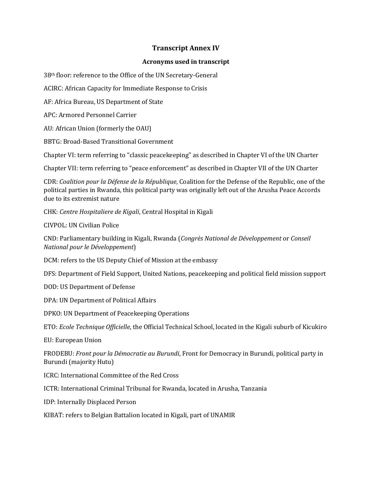## **Transcript Annex IV**

## **Acronyms used in transcript**

38th floor: reference to the Office of the UN Secretary-General

ACIRC: African Capacity for Immediate Response to Crisis

AF: Africa Bureau, US Department of State

APC: Armored Personnel Carrier

AU: African Union (formerly the OAU)

BBTG: Broad-Based Transitional Government

Chapter VI: term referring to "classic peacekeeping" as described in Chapter VI of the UN Charter

Chapter VII: term referring to "peace enforcement" as described in Chapter VII of the UN Charter

CDR: *Coalition pour la Défense de la République*, Coalition for the Defense of the Republic, one of the political parties in Rwanda, this political party was originally left out of the Arusha Peace Accords due to its extremist nature

CHK: *Centre Hospitaliere de Kigali*, Central Hospital in Kigali

CIVPOL: UN Civilian Police

CND: Parliamentary building in Kigali, Rwanda (*Congrès National de Développement* or *Conseil National pour le Développement*)

DCM: refers to the US Deputy Chief of Mission at the embassy

DFS: Department of Field Support, United Nations, peacekeeping and political field mission support

DOD: US Department of Defense

DPA: UN Department of Political Affairs

DPKO: UN Department of Peacekeeping Operations

ETO: *Ecole Technique Officielle*, the Official Technical School, located in the Kigali suburb of Kicukiro

EU: European Union

FRODEBU: *Front pour la Démocratie au Burundi*, Front for Democracy in Burundi, political party in Burundi (majority Hutu)

ICRC: International Committee of the Red Cross

ICTR: International Criminal Tribunal for Rwanda, located in Arusha, Tanzania

IDP: Internally Displaced Person

KIBAT: refers to Belgian Battalion located in Kigali, part of UNAMIR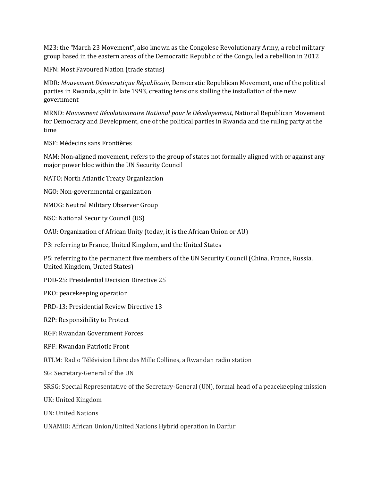M23: the "March 23 Movement", also known as the Congolese Revolutionary Army, a rebel military group based in the eastern areas of the Democratic Republic of the Congo, led a rebellion in 2012

MFN: Most Favoured Nation (trade status)

MDR: *Mouvement Démocratique Républicain,* Democratic Republican Movement, one of the political parties in Rwanda, split in late 1993, creating tensions stalling the installation of the new government

MRND: *Mouvement Révolutionnaire National pour le Dévelopement,* National Republican Movement for Democracy and Development, one of the political parties in Rwanda and the ruling party at the time

MSF: Médecins sans Frontières

NAM: Non-aligned movement, refers to the group of states not formally aligned with or against any major power bloc within the UN Security Council

NATO: North Atlantic Treaty Organization

NGO: Non-governmental organization

NMOG: Neutral Military Observer Group

NSC: National Security Council (US)

OAU: Organization of African Unity (today, it is the African Union or AU)

P3: referring to France, United Kingdom, and the United States

P5: referring to the permanent five members of the UN Security Council (China, France, Russia, United Kingdom, United States)

PDD-25: Presidential Decision Directive 25

PKO: peacekeeping operation

PRD-13: Presidential Review Directive 13

R2P: Responsibility to Protect

RGF: Rwandan Government Forces

RPF: Rwandan Patriotic Front

RTLM: Radio Télévision Libre des Mille Collines, a Rwandan radio station

SG: Secretary-General of the UN

SRSG: Special Representative of the Secretary-General (UN), formal head of a peacekeeping mission

UK: United Kingdom

UN: United Nations

UNAMID: African Union/United Nations Hybrid operation in Darfur